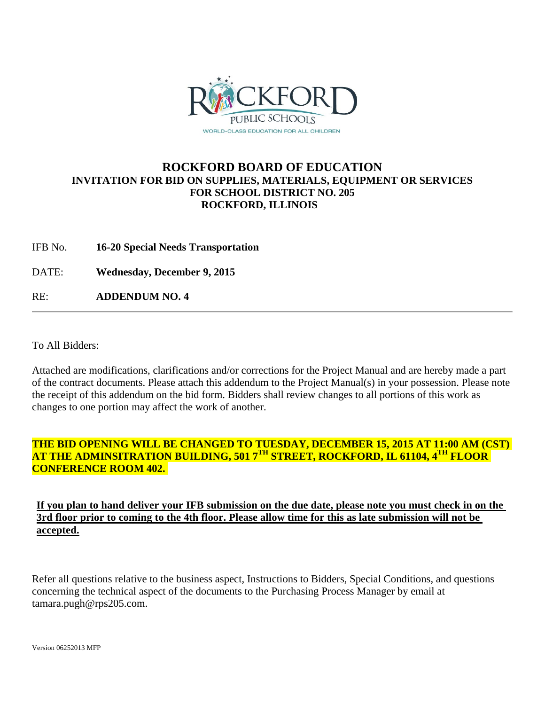

# **ROCKFORD BOARD OF EDUCATION INVITATION FOR BID ON SUPPLIES, MATERIALS, EQUIPMENT OR SERVICES FOR SCHOOL DISTRICT NO. 205 ROCKFORD, ILLINOIS**

IFB No. **16-20 Special Needs Transportation** 

DATE: **Wednesday, December 9, 2015**

RE: **ADDENDUM NO. 4**

To All Bidders:

Attached are modifications, clarifications and/or corrections for the Project Manual and are hereby made a part of the contract documents. Please attach this addendum to the Project Manual(s) in your possession. Please note the receipt of this addendum on the bid form. Bidders shall review changes to all portions of this work as changes to one portion may affect the work of another.

## **THE BID OPENING WILL BE CHANGED TO TUESDAY, DECEMBER 15, 2015 AT 11:00 AM (CST) AT THE ADMINSITRATION BUILDING, 501 7TH STREET, ROCKFORD, IL 61104, 4TH FLOOR CONFERENCE ROOM 402.**

# **If you plan to hand deliver your IFB submission on the due date, please note you must check in on the 3rd floor prior to coming to the 4th floor. Please allow time for this as late submission will not be accepted.**

Refer all questions relative to the business aspect, Instructions to Bidders, Special Conditions, and questions concerning the technical aspect of the documents to the Purchasing Process Manager by email at tamara.pugh@rps205.com.